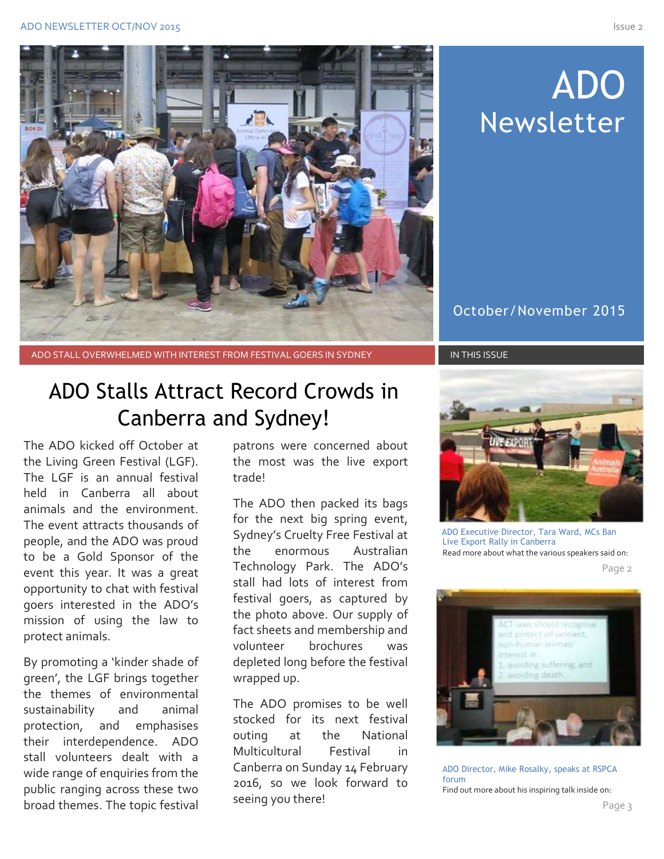

# ADO Newsletter

October/November 2015

ADO STALL OVERWHELMED WITH INTEREST FROM FESTIVAL GOERS IN SYDNEY IN THIS ISSUE

## ADO Stalls Attract Record Crowds in Canberra and Sydney!

The ADO kicked off October at the Living Green Festival (LGF). The LGF is an annual festival held in Canberra all about animals and the environment. The event attracts thousands of people, and the ADO was proud to be a Gold Sponsor of the event this year. It was a great opportunity to chat with festival goers interested in the ADO's mission of using the law to protect animals.

By promoting a 'kinder shade of green', the LGF brings together the themes of environmental sustainability and animal protection, and emphasises their interdependence. ADO stall volunteers dealt with a wide range of enquiries from the public ranging across these two broad themes. The topic festival

patrons were concerned about the most was the live export trade!

The ADO then packed its bags for the next big spring event, Sydney's Cruelty Free Festival at the enormous Australian Technology Park. The ADO's stall had lots of interest from festival goers, as captured by the photo above. Our supply of fact sheets and membership and volunteer brochures was depleted long before the festival wrapped up.

The ADO promises to be well stocked for its next festival outing at the National Multicultural Festival in Canberra on Sunday 14 February 2016, so we look forward to seeing you there!



 ADO Executive Director, Tara Ward, MCs Ban Live Export Rally in Canberra Read more about what the various speakers said on:



ADO Director, Mike Rosalky, speaks at RSPCA forum Find out more about his inspiring talk inside on: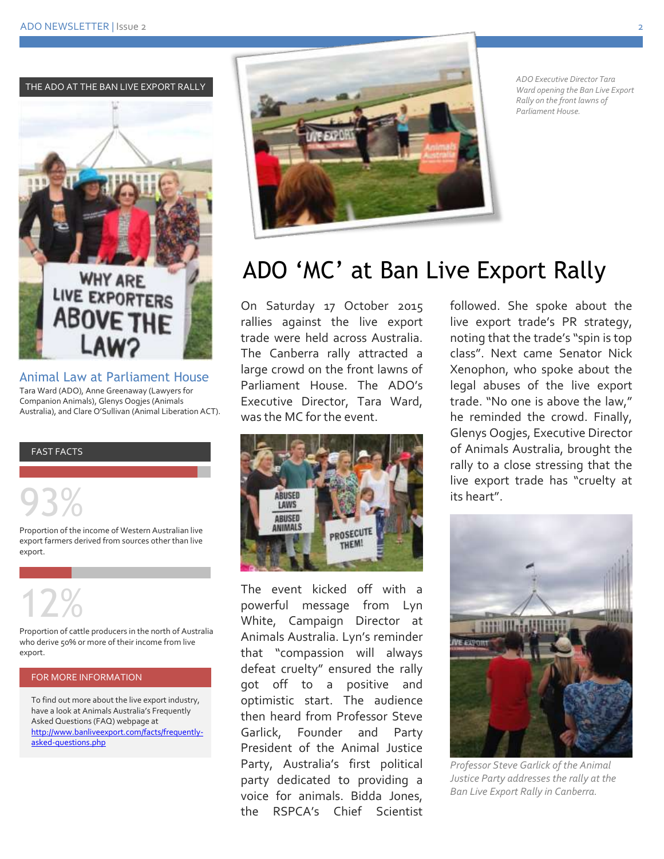THE ADO AT THE BAN LIVE EXPORT RALLY



Animal Law at Parliament House Tara Ward (ADO), Anne Greenaway (Lawyers for Companion Animals), Glenys Oogjes (Animals Australia), and Clare O'Sullivan (Animal Liberation ACT).

#### FAST FACTS

93%

Proportion of the income of Western Australian live export farmers derived from sources other than live export.

# 12%

Proportion of cattle producers in the north of Australia who derive 50% or more of their income from live export.

#### FOR MORE INFORMATION

To find out more about the live export industry, have a look at Animals Australia's Frequently Asked Questions (FAQ) webpage at [http://www.banliveexport.com/facts/frequently](http://www.banliveexport.com/facts/frequently-asked-questions.php)[asked-questions.php](http://www.banliveexport.com/facts/frequently-asked-questions.php)



*ADO Executive Director Tara Ward opening the Ban Live Export Rally on the front lawns of Parliament House.* 

## ADO 'MC' at Ban Live Export Rally

On Saturday 17 October 2015 rallies against the live export trade were held across Australia. The Canberra rally attracted a large crowd on the front lawns of Parliament House. The ADO's Executive Director, Tara Ward, was the MC for the event.



The event kicked off with a powerful message from Lyn White, Campaign Director at Animals Australia. Lyn's reminder that "compassion will always defeat cruelty" ensured the rally got off to a positive and optimistic start. The audience then heard from Professor Steve Garlick, Founder and Party President of the Animal Justice Party, Australia's first political party dedicated to providing a voice for animals. Bidda Jones, the RSPCA's Chief Scientist

followed. She spoke about the live export trade's PR strategy, noting that the trade's "spin is top class". Next came Senator Nick Xenophon, who spoke about the legal abuses of the live export trade. "No one is above the law," he reminded the crowd. Finally, Glenys Oogjes, Executive Director of Animals Australia, brought the rally to a close stressing that the live export trade has "cruelty at its heart".



*Professor Steve Garlick of the Animal Justice Party addresses the rally at the Ban Live Export Rally in Canberra.*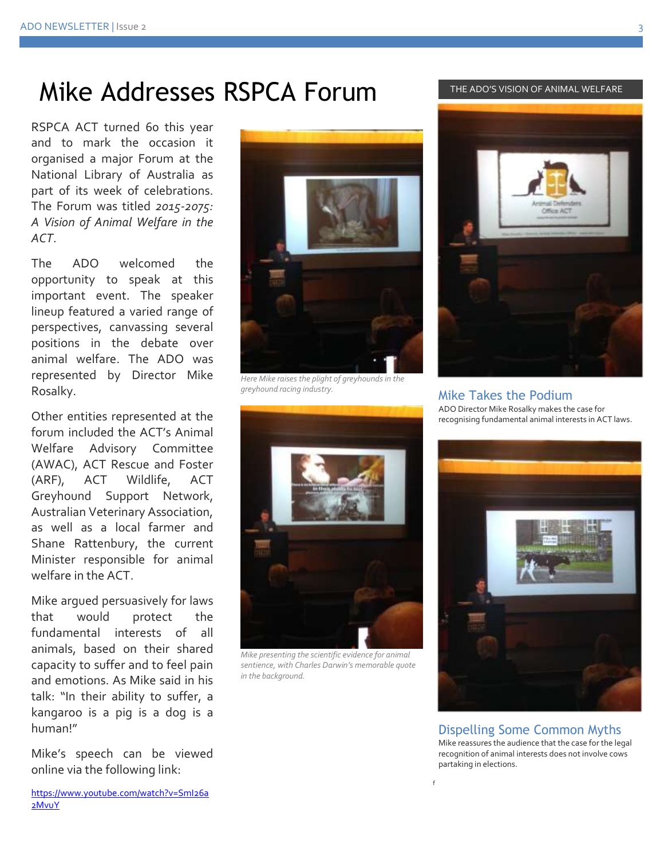## Mike Addresses RSPCA Forum

RSPCA ACT turned 60 this year and to mark the occasion it organised a major Forum at the National Library of Australia as part of its week of celebrations. The Forum was titled *2015-2075: A Vision of Animal Welfare in the ACT*.

The ADO welcomed the opportunity to speak at this important event. The speaker lineup featured a varied range of perspectives, canvassing several positions in the debate over animal welfare. The ADO was represented by Director Mike Rosalky.

Other entities represented at the forum included the ACT's Animal Welfare Advisory Committee (AWAC), ACT Rescue and Foster (ARF), ACT Wildlife, ACT Greyhound Support Network, Australian Veterinary Association, as well as a local farmer and Shane Rattenbury, the current Minister responsible for animal welfare in the ACT.

Mike argued persuasively for laws that would protect the fundamental interests of all animals, based on their shared capacity to suffer and to feel pain and emotions. As Mike said in his talk: "In their ability to suffer, a kangaroo is a pig is a dog is a human!"

Mike's speech can be viewed online via the following link:

*Here Mike raises the plight of greyhounds in the greyhound racing industry.*



*Mike presenting the scientific evidence for animal sentience, with Charles Darwin's memorable quote in the background.*





Mike Takes the Podium ADO Director Mike Rosalky makes the case for recognising fundamental animal interests in ACT laws.



Dispelling Some Common Myths

Mike reassures the audience that the case for the legal recognition of animal interests does not involve cows partaking in elections.

f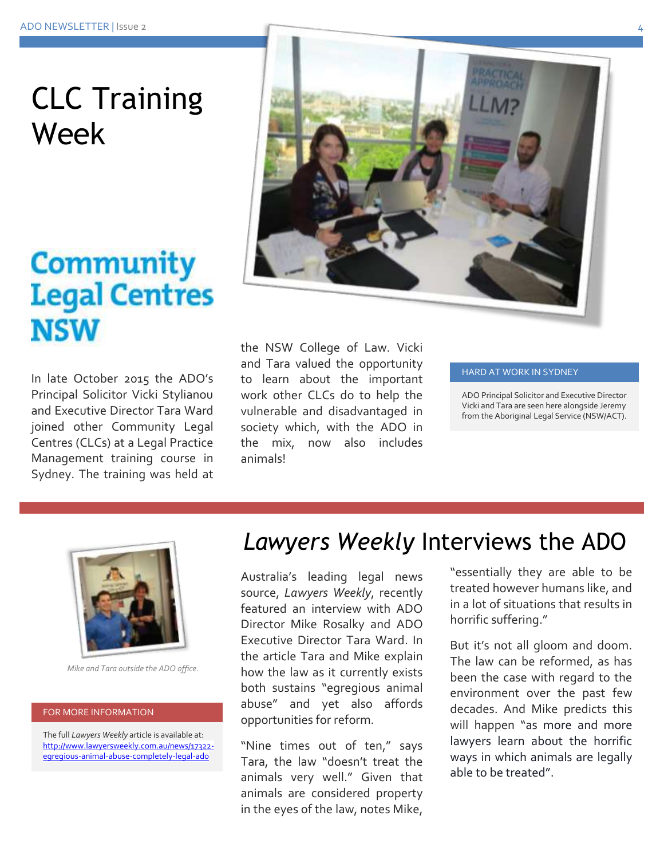# CLC Training Week

## **Community Legal Centres NSW**

In late October 2015 the ADO's Principal Solicitor Vicki Stylianou and Executive Director Tara Ward joined other Community Legal Centres (CLCs) at a Legal Practice Management training course in Sydney. The training was held at



the NSW College of Law. Vicki and Tara valued the opportunity to learn about the important work other CLCs do to help the vulnerable and disadvantaged in society which, with the ADO in the mix, now also includes animals!

#### HARD AT WORK IN SYDNEY

ADO Principal Solicitor and Executive Director Vicki and Tara are seen here alongside Jeremy from the Aboriginal Legal Service (NSW/ACT).



*Mike and Tara outside the ADO office.*

#### FOR MORE INFORMATION

The full *Lawyers Weekly* article is available at: [http://www.lawyersweekly.com.au/news/17322](http://www.lawyersweekly.com.au/news/17322-egregious-animal-abuse-completely-legal-ado) [egregious-animal-abuse-completely-legal-ado](http://www.lawyersweekly.com.au/news/17322-egregious-animal-abuse-completely-legal-ado)

## *Lawyers Weekly* Interviews the ADO

Australia's leading legal news source, *Lawyers Weekly*, recently featured an interview with ADO Director Mike Rosalky and ADO Executive Director Tara Ward. In the article Tara and Mike explain how the law as it currently exists both sustains "egregious animal abuse" and yet also affords opportunities for reform.

"Nine times out of ten," says Tara, the law "doesn't treat the animals very well." Given that animals are considered property in the eyes of the law, notes Mike,

"essentially they are able to be treated however humans like, and in a lot of situations that results in horrific suffering."

But it's not all gloom and doom. The law can be reformed, as has been the case with regard to the environment over the past few decades. And Mike predicts this will happen "as more and more lawyers learn about the horrific ways in which animals are legally able to be treated".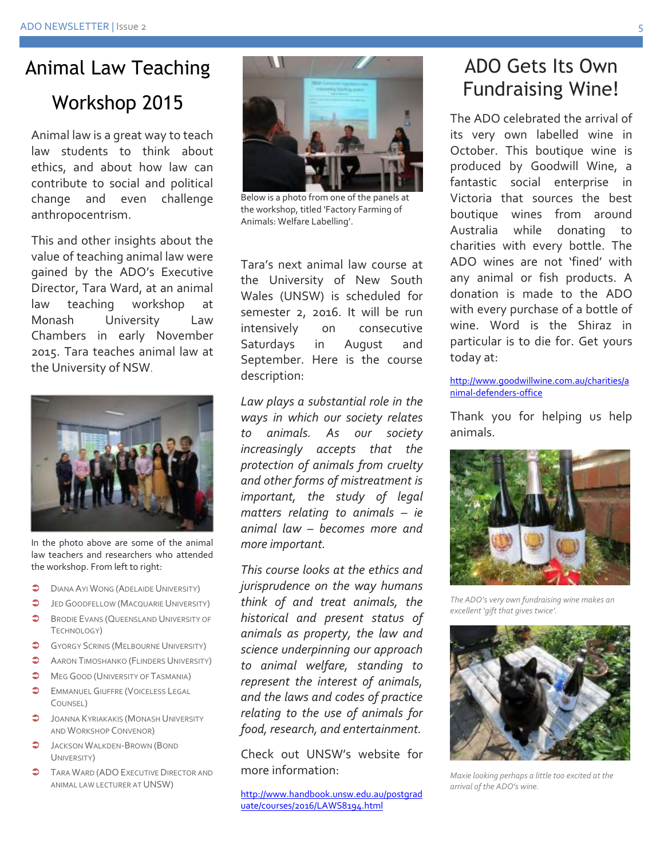# Animal Law Teaching

### Workshop 2015

Animal law is a great way to teach law students to think about ethics, and about how law can contribute to social and political change and even challenge anthropocentrism.

This and other insights about the value of teaching animal law were gained by the ADO's Executive Director, Tara Ward, at an animal law teaching workshop at Monash University Law Chambers in early November 2015. Tara teaches animal law at the University of NSW.



In the photo above are some of the animal law teachers and researchers who attended the workshop. From left to right:

- **DIANA AYI WONG (ADELAIDE UNIVERSITY)**
- **JED GOODFELLOW (MACQUARIE UNIVERSITY)**
- **BRODIE EVANS (QUEENSLAND UNIVERSITY OF** TECHNOLOGY)
- **GYORGY SCRINIS (MELBOURNE UNIVERSITY)**
- **COMPTER ARRON TIMOSHANKO (FLINDERS UNIVERSITY)**
- **MEG GOOD (UNIVERSITY OF TASMANIA)**
- **COMMANUEL GIUFFRE (VOICELESS LEGAL** COUNSEL)
- $\bullet$  JOANNA KYRIAKAKIS (MONASH UNIVERSITY AND WORKSHOP CONVENOR)
- **JACKSON WALKDEN-BROWN (BOND** UNIVERSITY)
- **TARA WARD (ADO EXECUTIVE DIRECTOR AND** ANIMAL LAW LECTURER AT UNSW)



Below is a photo from one of the panels at the workshop, titled 'Factory Farming of Animals: Welfare Labelling'.

Tara's next animal law course at the University of New South Wales (UNSW) is scheduled for semester 2, 2016. It will be run intensively on consecutive Saturdays in August and September. Here is the course description:

*Law plays a substantial role in the ways in which our society relates to animals. As our society increasingly accepts that the protection of animals from cruelty and other forms of mistreatment is important, the study of legal matters relating to animals – ie animal law – becomes more and more important.*

*This course looks at the ethics and jurisprudence on the way humans think of and treat animals, the historical and present status of animals as property, the law and science underpinning our approach to animal welfare, standing to represent the interest of animals, and the laws and codes of practice relating to the use of animals for food, research, and entertainment.*

Check out UNSW's website for more information:

[http://www.handbook.unsw.edu.au/postgrad](http://www.handbook.unsw.edu.au/postgraduate/courses/2016/LAWS8194.html) [uate/courses/2016/LAWS8194.html](http://www.handbook.unsw.edu.au/postgraduate/courses/2016/LAWS8194.html) 

### ADO Gets Its Own Fundraising Wine!

The ADO celebrated the arrival of its very own labelled wine in October. This boutique wine is produced by Goodwill Wine, a fantastic social enterprise in Victoria that sources the best boutique wines from around Australia while donating to charities with every bottle. The ADO wines are not 'fined' with any animal or fish products. A donation is made to the ADO with every purchase of a bottle of wine. Word is the Shiraz in particular is to die for. Get yours today at:

#### [http://www.goodwillwine.com.au/charities/a](http://www.goodwillwine.com.au/charities/animal-defenders-office) [nimal-defenders-office](http://www.goodwillwine.com.au/charities/animal-defenders-office)

Thank you for helping us help animals.



*The ADO's very own fundraising wine makes an excellent 'gift that gives twice'.*



*Maxie looking perhaps a little too excited at the arrival of the ADO's wine.*